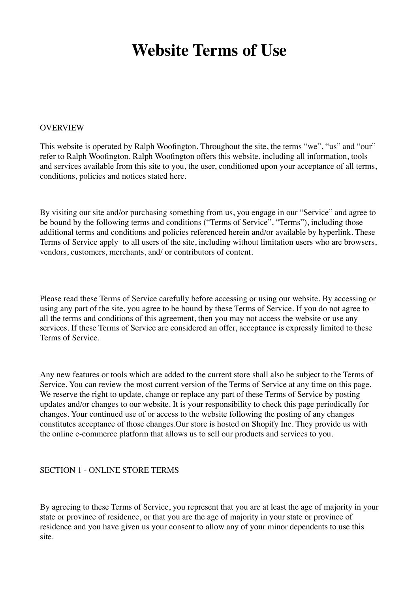# **Website Terms of Use**

#### **OVERVIEW**

This website is operated by Ralph Woofington. Throughout the site, the terms "we", "us" and "our" refer to Ralph Woofington. Ralph Woofington offers this website, including all information, tools and services available from this site to you, the user, conditioned upon your acceptance of all terms, conditions, policies and notices stated here.

By visiting our site and/or purchasing something from us, you engage in our "Service" and agree to be bound by the following terms and conditions ("Terms of Service", "Terms"), including those additional terms and conditions and policies referenced herein and/or available by hyperlink. These Terms of Service apply to all users of the site, including without limitation users who are browsers, vendors, customers, merchants, and/ or contributors of content.

Please read these Terms of Service carefully before accessing or using our website. By accessing or using any part of the site, you agree to be bound by these Terms of Service. If you do not agree to all the terms and conditions of this agreement, then you may not access the website or use any services. If these Terms of Service are considered an offer, acceptance is expressly limited to these Terms of Service.

Any new features or tools which are added to the current store shall also be subject to the Terms of Service. You can review the most current version of the Terms of Service at any time on this page. We reserve the right to update, change or replace any part of these Terms of Service by posting updates and/or changes to our website. It is your responsibility to check this page periodically for changes. Your continued use of or access to the website following the posting of any changes constitutes acceptance of those changes.Our store is hosted on Shopify Inc. They provide us with the online e-commerce platform that allows us to sell our products and services to you.

#### SECTION 1 - ONLINE STORE TERMS

By agreeing to these Terms of Service, you represent that you are at least the age of majority in your state or province of residence, or that you are the age of majority in your state or province of residence and you have given us your consent to allow any of your minor dependents to use this site.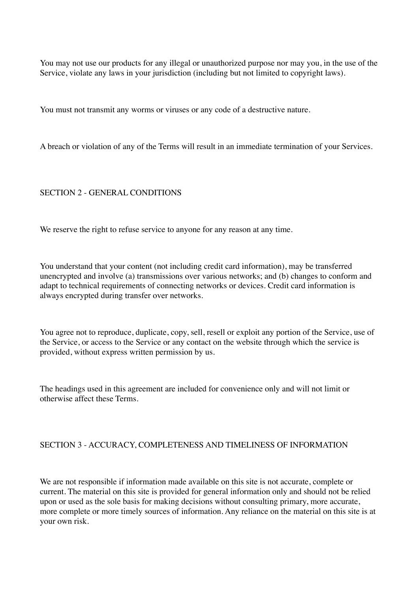You may not use our products for any illegal or unauthorized purpose nor may you, in the use of the Service, violate any laws in your jurisdiction (including but not limited to copyright laws).

You must not transmit any worms or viruses or any code of a destructive nature.

A breach or violation of any of the Terms will result in an immediate termination of your Services.

# SECTION 2 - GENERAL CONDITIONS

We reserve the right to refuse service to anyone for any reason at any time.

You understand that your content (not including credit card information), may be transferred unencrypted and involve (a) transmissions over various networks; and (b) changes to conform and adapt to technical requirements of connecting networks or devices. Credit card information is always encrypted during transfer over networks.

You agree not to reproduce, duplicate, copy, sell, resell or exploit any portion of the Service, use of the Service, or access to the Service or any contact on the website through which the service is provided, without express written permission by us.

The headings used in this agreement are included for convenience only and will not limit or otherwise affect these Terms.

# SECTION 3 - ACCURACY, COMPLETENESS AND TIMELINESS OF INFORMATION

We are not responsible if information made available on this site is not accurate, complete or current. The material on this site is provided for general information only and should not be relied upon or used as the sole basis for making decisions without consulting primary, more accurate, more complete or more timely sources of information. Any reliance on the material on this site is at your own risk.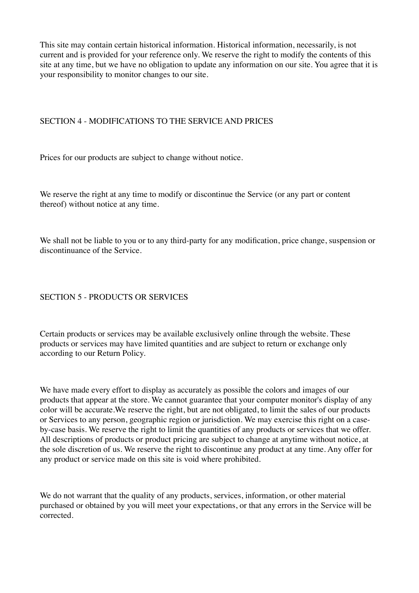This site may contain certain historical information. Historical information, necessarily, is not current and is provided for your reference only. We reserve the right to modify the contents of this site at any time, but we have no obligation to update any information on our site. You agree that it is your responsibility to monitor changes to our site.

# SECTION 4 - MODIFICATIONS TO THE SERVICE AND PRICES

Prices for our products are subject to change without notice.

We reserve the right at any time to modify or discontinue the Service (or any part or content thereof) without notice at any time.

We shall not be liable to you or to any third-party for any modification, price change, suspension or discontinuance of the Service.

## SECTION 5 - PRODUCTS OR SERVICES

Certain products or services may be available exclusively online through the website. These products or services may have limited quantities and are subject to return or exchange only according to our Return Policy.

We have made every effort to display as accurately as possible the colors and images of our products that appear at the store. We cannot guarantee that your computer monitor's display of any color will be accurate.We reserve the right, but are not obligated, to limit the sales of our products or Services to any person, geographic region or jurisdiction. We may exercise this right on a caseby-case basis. We reserve the right to limit the quantities of any products or services that we offer. All descriptions of products or product pricing are subject to change at anytime without notice, at the sole discretion of us. We reserve the right to discontinue any product at any time. Any offer for any product or service made on this site is void where prohibited.

We do not warrant that the quality of any products, services, information, or other material purchased or obtained by you will meet your expectations, or that any errors in the Service will be corrected.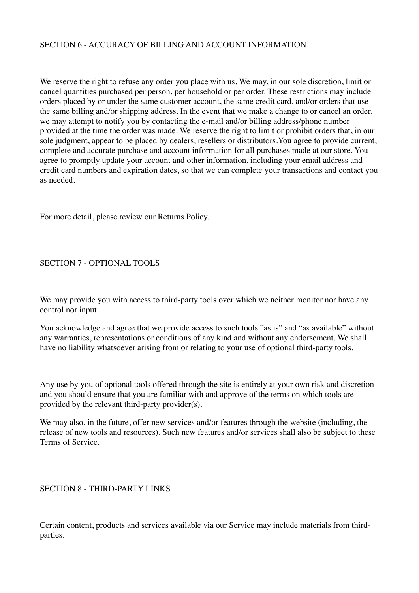# SECTION 6 - ACCURACY OF BILLING AND ACCOUNT INFORMATION

We reserve the right to refuse any order you place with us. We may, in our sole discretion, limit or cancel quantities purchased per person, per household or per order. These restrictions may include orders placed by or under the same customer account, the same credit card, and/or orders that use the same billing and/or shipping address. In the event that we make a change to or cancel an order, we may attempt to notify you by contacting the e-mail and/or billing address/phone number provided at the time the order was made. We reserve the right to limit or prohibit orders that, in our sole judgment, appear to be placed by dealers, resellers or distributors.You agree to provide current, complete and accurate purchase and account information for all purchases made at our store. You agree to promptly update your account and other information, including your email address and credit card numbers and expiration dates, so that we can complete your transactions and contact you as needed.

For more detail, please review our Returns Policy.

#### SECTION 7 - OPTIONAL TOOLS

We may provide you with access to third-party tools over which we neither monitor nor have any control nor input.

You acknowledge and agree that we provide access to such tools "as is" and "as available" without any warranties, representations or conditions of any kind and without any endorsement. We shall have no liability whatsoever arising from or relating to your use of optional third-party tools.

Any use by you of optional tools offered through the site is entirely at your own risk and discretion and you should ensure that you are familiar with and approve of the terms on which tools are provided by the relevant third-party provider(s).

We may also, in the future, offer new services and/or features through the website (including, the release of new tools and resources). Such new features and/or services shall also be subject to these Terms of Service.

#### SECTION 8 - THIRD-PARTY LINKS

Certain content, products and services available via our Service may include materials from thirdparties.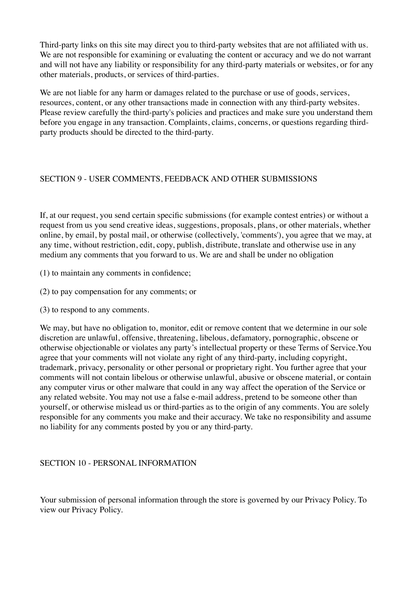Third-party links on this site may direct you to third-party websites that are not affiliated with us. We are not responsible for examining or evaluating the content or accuracy and we do not warrant and will not have any liability or responsibility for any third-party materials or websites, or for any other materials, products, or services of third-parties.

We are not liable for any harm or damages related to the purchase or use of goods, services, resources, content, or any other transactions made in connection with any third-party websites. Please review carefully the third-party's policies and practices and make sure you understand them before you engage in any transaction. Complaints, claims, concerns, or questions regarding thirdparty products should be directed to the third-party.

# SECTION 9 - USER COMMENTS, FEEDBACK AND OTHER SUBMISSIONS

If, at our request, you send certain specific submissions (for example contest entries) or without a request from us you send creative ideas, suggestions, proposals, plans, or other materials, whether online, by email, by postal mail, or otherwise (collectively, 'comments'), you agree that we may, at any time, without restriction, edit, copy, publish, distribute, translate and otherwise use in any medium any comments that you forward to us. We are and shall be under no obligation

- (1) to maintain any comments in confidence;
- (2) to pay compensation for any comments; or
- (3) to respond to any comments.

We may, but have no obligation to, monitor, edit or remove content that we determine in our sole discretion are unlawful, offensive, threatening, libelous, defamatory, pornographic, obscene or otherwise objectionable or violates any party's intellectual property or these Terms of Service.You agree that your comments will not violate any right of any third-party, including copyright, trademark, privacy, personality or other personal or proprietary right. You further agree that your comments will not contain libelous or otherwise unlawful, abusive or obscene material, or contain any computer virus or other malware that could in any way affect the operation of the Service or any related website. You may not use a false e-mail address, pretend to be someone other than yourself, or otherwise mislead us or third-parties as to the origin of any comments. You are solely responsible for any comments you make and their accuracy. We take no responsibility and assume no liability for any comments posted by you or any third-party.

# SECTION 10 - PERSONAL INFORMATION

Your submission of personal information through the store is governed by our Privacy Policy. To view our Privacy Policy.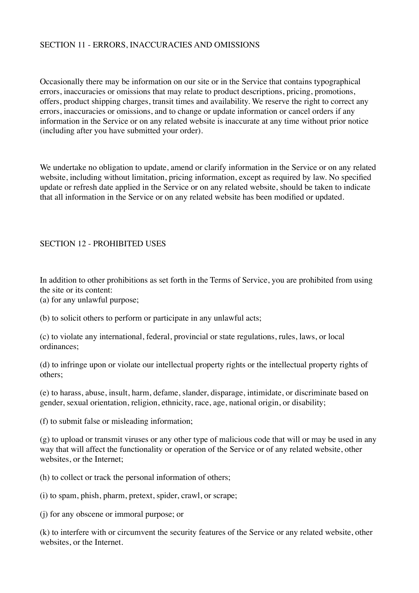# SECTION 11 - ERRORS, INACCURACIES AND OMISSIONS

Occasionally there may be information on our site or in the Service that contains typographical errors, inaccuracies or omissions that may relate to product descriptions, pricing, promotions, offers, product shipping charges, transit times and availability. We reserve the right to correct any errors, inaccuracies or omissions, and to change or update information or cancel orders if any information in the Service or on any related website is inaccurate at any time without prior notice (including after you have submitted your order).

We undertake no obligation to update, amend or clarify information in the Service or on any related website, including without limitation, pricing information, except as required by law. No specified update or refresh date applied in the Service or on any related website, should be taken to indicate that all information in the Service or on any related website has been modified or updated.

# SECTION 12 - PROHIBITED USES

In addition to other prohibitions as set forth in the Terms of Service, you are prohibited from using the site or its content:

(a) for any unlawful purpose;

(b) to solicit others to perform or participate in any unlawful acts;

(c) to violate any international, federal, provincial or state regulations, rules, laws, or local ordinances;

(d) to infringe upon or violate our intellectual property rights or the intellectual property rights of others;

(e) to harass, abuse, insult, harm, defame, slander, disparage, intimidate, or discriminate based on gender, sexual orientation, religion, ethnicity, race, age, national origin, or disability;

(f) to submit false or misleading information;

(g) to upload or transmit viruses or any other type of malicious code that will or may be used in any way that will affect the functionality or operation of the Service or of any related website, other websites, or the Internet;

(h) to collect or track the personal information of others;

(i) to spam, phish, pharm, pretext, spider, crawl, or scrape;

(j) for any obscene or immoral purpose; or

(k) to interfere with or circumvent the security features of the Service or any related website, other websites, or the Internet.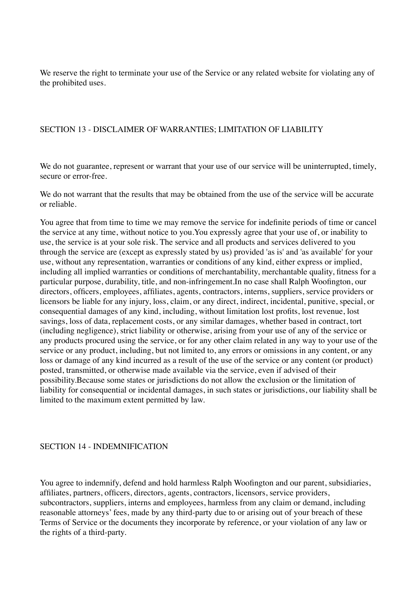We reserve the right to terminate your use of the Service or any related website for violating any of the prohibited uses.

### SECTION 13 - DISCLAIMER OF WARRANTIES; LIMITATION OF LIABILITY

We do not guarantee, represent or warrant that your use of our service will be uninterrupted, timely, secure or error-free.

We do not warrant that the results that may be obtained from the use of the service will be accurate or reliable.

You agree that from time to time we may remove the service for indefinite periods of time or cancel the service at any time, without notice to you.You expressly agree that your use of, or inability to use, the service is at your sole risk. The service and all products and services delivered to you through the service are (except as expressly stated by us) provided 'as is' and 'as available' for your use, without any representation, warranties or conditions of any kind, either express or implied, including all implied warranties or conditions of merchantability, merchantable quality, fitness for a particular purpose, durability, title, and non-infringement.In no case shall Ralph Woofington, our directors, officers, employees, affiliates, agents, contractors, interns, suppliers, service providers or licensors be liable for any injury, loss, claim, or any direct, indirect, incidental, punitive, special, or consequential damages of any kind, including, without limitation lost profits, lost revenue, lost savings, loss of data, replacement costs, or any similar damages, whether based in contract, tort (including negligence), strict liability or otherwise, arising from your use of any of the service or any products procured using the service, or for any other claim related in any way to your use of the service or any product, including, but not limited to, any errors or omissions in any content, or any loss or damage of any kind incurred as a result of the use of the service or any content (or product) posted, transmitted, or otherwise made available via the service, even if advised of their possibility.Because some states or jurisdictions do not allow the exclusion or the limitation of liability for consequential or incidental damages, in such states or jurisdictions, our liability shall be limited to the maximum extent permitted by law.

#### SECTION 14 - INDEMNIFICATION

You agree to indemnify, defend and hold harmless Ralph Woofington and our parent, subsidiaries, affiliates, partners, officers, directors, agents, contractors, licensors, service providers, subcontractors, suppliers, interns and employees, harmless from any claim or demand, including reasonable attorneys' fees, made by any third-party due to or arising out of your breach of these Terms of Service or the documents they incorporate by reference, or your violation of any law or the rights of a third-party.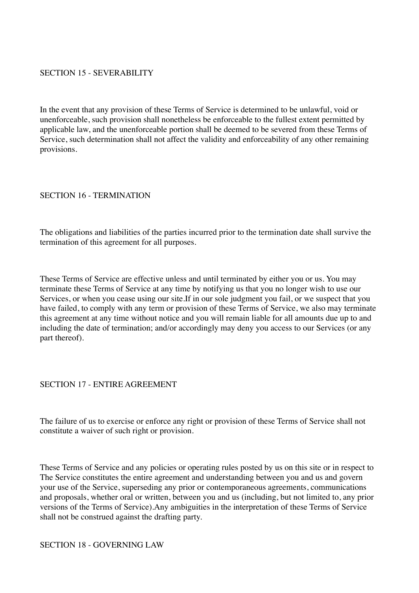## SECTION 15 - SEVERABILITY

In the event that any provision of these Terms of Service is determined to be unlawful, void or unenforceable, such provision shall nonetheless be enforceable to the fullest extent permitted by applicable law, and the unenforceable portion shall be deemed to be severed from these Terms of Service, such determination shall not affect the validity and enforceability of any other remaining provisions.

#### SECTION 16 - TERMINATION

The obligations and liabilities of the parties incurred prior to the termination date shall survive the termination of this agreement for all purposes.

These Terms of Service are effective unless and until terminated by either you or us. You may terminate these Terms of Service at any time by notifying us that you no longer wish to use our Services, or when you cease using our site.If in our sole judgment you fail, or we suspect that you have failed, to comply with any term or provision of these Terms of Service, we also may terminate this agreement at any time without notice and you will remain liable for all amounts due up to and including the date of termination; and/or accordingly may deny you access to our Services (or any part thereof).

# SECTION 17 - ENTIRE AGREEMENT

The failure of us to exercise or enforce any right or provision of these Terms of Service shall not constitute a waiver of such right or provision.

These Terms of Service and any policies or operating rules posted by us on this site or in respect to The Service constitutes the entire agreement and understanding between you and us and govern your use of the Service, superseding any prior or contemporaneous agreements, communications and proposals, whether oral or written, between you and us (including, but not limited to, any prior versions of the Terms of Service).Any ambiguities in the interpretation of these Terms of Service shall not be construed against the drafting party.

#### SECTION 18 - GOVERNING LAW